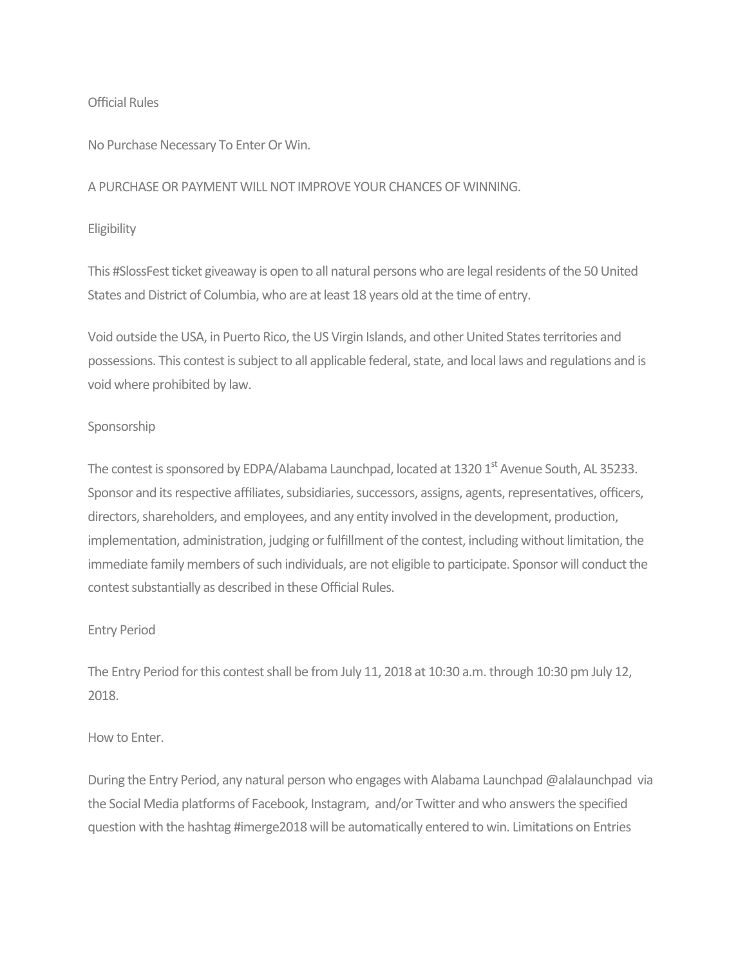### Official Rules

No Purchase Necessary To Enter Or Win.

A PURCHASE OR PAYMENT WILL NOT IMPROVE YOUR CHANCES OF WINNING.

# Eligibility

This #SlossFest ticket giveaway is open to all natural persons who are legal residents of the 50 United States and District of Columbia, who are at least 18 years old at the time of entry.

Void outside the USA, in Puerto Rico, the US Virgin Islands, and other United States territories and possessions. This contest is subject to all applicable federal, state, and local laws and regulations and is void where prohibited by law.

# Sponsorship

The contest is sponsored by EDPA/Alabama Launchpad, located at 1320 1<sup>st</sup> Avenue South, AL 35233. Sponsor and its respective affiliates, subsidiaries, successors, assigns, agents, representatives, officers, directors, shareholders, and employees, and any entity involved in the development, production, implementation, administration, judging or fulfillment of the contest, including without limitation, the immediate family members of such individuals, are not eligible to participate. Sponsor will conduct the contest substantially as described in these Official Rules.

# Entry Period

The Entry Period for this contest shall be from July 11, 2018 at 10:30 a.m. through 10:30 pm July 12, 2018.

# How to Enter.

During the Entry Period, any natural person who engages with Alabama Launchpad @alalaunchpad via the Social Media platforms of Facebook, Instagram, and/or Twitter and who answers the specified question with the hashtag #imerge2018 will be automatically entered to win. Limitations on Entries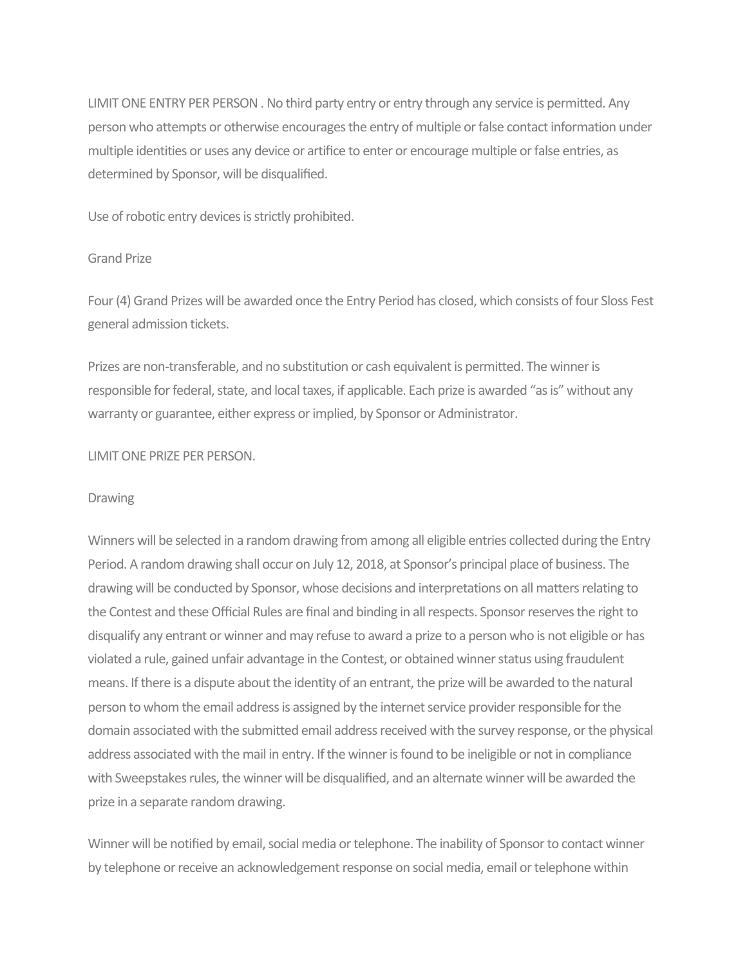LIMIT ONE ENTRY PER PERSON . No third party entry or entry through any service is permitted. Any person who attempts or otherwise encourages the entry of multiple or false contact information under multiple identities or uses any device or artifice to enter or encourage multiple or false entries, as determined by Sponsor, will be disqualified.

Use of robotic entry devices is strictly prohibited.

### Grand Prize

Four (4) Grand Prizes will be awarded once the Entry Period has closed, which consists of four Sloss Fest general admission tickets.

Prizes are non-transferable, and no substitution or cash equivalent is permitted. The winner is responsible for federal, state, and local taxes, if applicable. Each prize is awarded "as is" without any warranty or guarantee, either express or implied, by Sponsor or Administrator.

#### **LIMIT ONE PRIZE PER PERSON.**

#### **Drawing**

Winners will be selected in a random drawing from among all eligible entries collected during the Entry Period. A random drawing shall occur on July 12, 2018, at Sponsor's principal place of business. The drawing will be conducted by Sponsor, whose decisions and interpretations on all matters relating to the Contest and these Official Rules are final and binding in all respects. Sponsor reserves the right to disqualify any entrant or winner and may refuse to award a prize to a person who is not eligible or has violated a rule, gained unfair advantage in the Contest, or obtained winner status using fraudulent means. If there is a dispute about the identity of an entrant, the prize will be awarded to the natural person to whom the email address is assigned by the internet service provider responsible for the domain associated with the submitted email address received with the survey response, or the physical address associated with the mail in entry. If the winner is found to be ineligible or not in compliance with Sweepstakes rules, the winner will be disqualified, and an alternate winner will be awarded the prize in a separate random drawing.

Winner will be notified by email, social media or telephone. The inability of Sponsor to contact winner by telephone or receive an acknowledgement response on social media, email or telephone within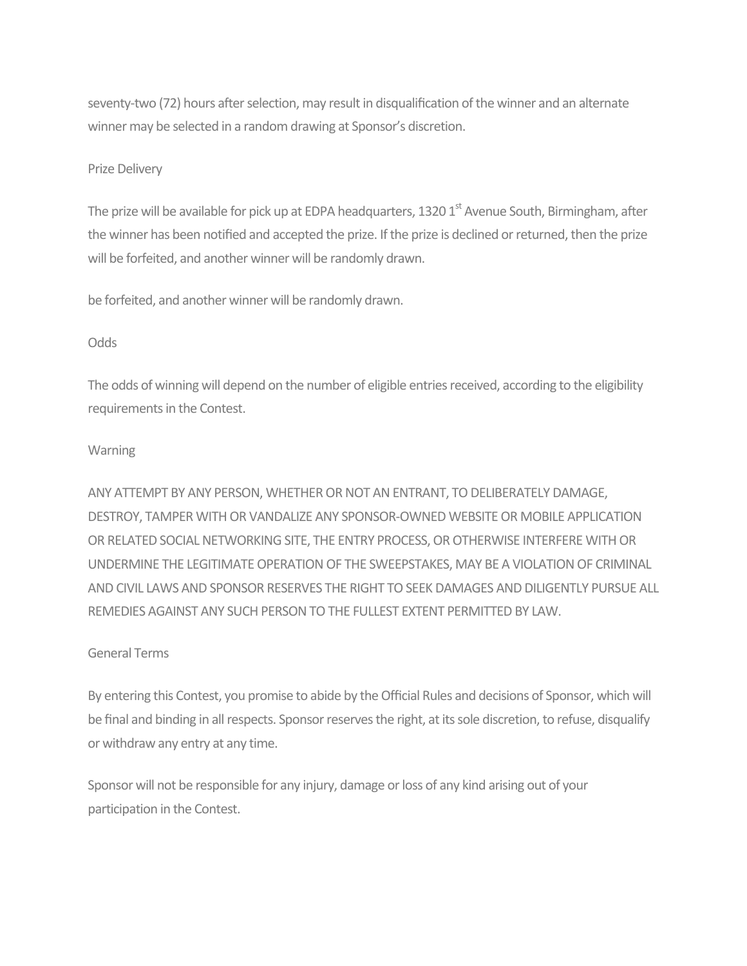seventy-two (72) hours after selection, may result in disqualification of the winner and an alternate winner may be selected in a random drawing at Sponsor's discretion.

### Prize Delivery

The prize will be available for pick up at EDPA headquarters, 1320  $1<sup>st</sup>$  Avenue South, Birmingham, after the winner has been notified and accepted the prize. If the prize is declined or returned, then the prize will be forfeited, and another winner will be randomly drawn.

be forfeited, and another winner will be randomly drawn.

### Odds

The odds of winning will depend on the number of eligible entries received, according to the eligibility requirements in the Contest.

### Warning

ANY ATTEMPT BY ANY PERSON, WHETHER OR NOT AN ENTRANT, TO DELIBERATELY DAMAGE, DESTROY, TAMPER WITH OR VANDALIZE ANY SPONSOR-OWNED WEBSITE OR MOBILE APPLICATION OR RELATED SOCIAL NETWORKING SITE, THE ENTRY PROCESS, OR OTHERWISE INTERFERE WITH OR UNDERMINE THE LEGITIMATE OPERATION OF THE SWEEPSTAKES, MAY BE A VIOLATION OF CRIMINAL AND CIVIL LAWS AND SPONSOR RESERVES THE RIGHT TO SEEK DAMAGES AND DILIGENTLY PURSUE ALL REMEDIES AGAINST ANY SUCH PERSON TO THE FULLEST EXTENT PERMITTED BY LAW.

# General Terms

By entering this Contest, you promise to abide by the Official Rules and decisions of Sponsor, which will be final and binding in all respects. Sponsor reserves the right, at its sole discretion, to refuse, disqualify or withdraw any entry at any time.

Sponsor will not be responsible for any injury, damage or loss of any kind arising out of your participation in the Contest.